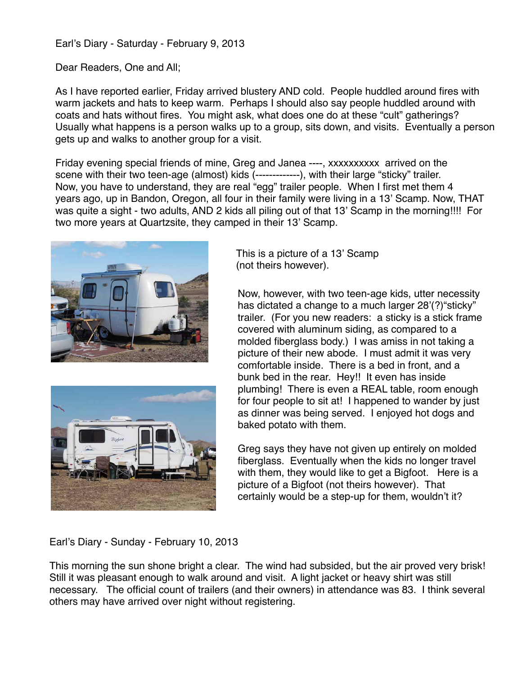Earl's Diary - Saturday - February 9, 2013

Dear Readers, One and All;

As I have reported earlier, Friday arrived blustery AND cold. People huddled around fires with warm jackets and hats to keep warm. Perhaps I should also say people huddled around with coats and hats without fires. You might ask, what does one do at these "cult" gatherings? Usually what happens is a person walks up to a group, sits down, and visits. Eventually a person gets up and walks to another group for a visit.

Friday evening special friends of mine, Greg and Janea ----, xxxxxxxxxx arrived on the scene with their two teen-age (almost) kids (-------------), with their large "sticky" trailer. Now, you have to understand, they are real "egg" trailer people. When I first met them 4 years ago, up in Bandon, Oregon, all four in their family were living in a 13' Scamp. Now, THAT was quite a sight - two adults, AND 2 kids all piling out of that 13' Scamp in the morning!!!! For two more years at Quartzsite, they camped in their 13' Scamp.





This is a picture of a 13' Scamp (not theirs however).

Now, however, with two teen-age kids, utter necessity has dictated a change to a much larger 28'(?)"sticky" trailer. (For you new readers: a sticky is a stick frame covered with aluminum siding, as compared to a molded fiberglass body.) I was amiss in not taking a picture of their new abode. I must admit it was very comfortable inside. There is a bed in front, and a bunk bed in the rear. Hey!! It even has inside plumbing! There is even a REAL table, room enough for four people to sit at! I happened to wander by just as dinner was being served. I enjoyed hot dogs and baked potato with them.

Greg says they have not given up entirely on molded fiberglass. Eventually when the kids no longer travel with them, they would like to get a Bigfoot. Here is a picture of a Bigfoot (not theirs however). That certainly would be a step-up for them, wouldn't it?

Earl's Diary - Sunday - February 10, 2013

This morning the sun shone bright a clear. The wind had subsided, but the air proved very brisk! Still it was pleasant enough to walk around and visit. A light jacket or heavy shirt was still necessary. The official count of trailers (and their owners) in attendance was 83. I think several others may have arrived over night without registering.